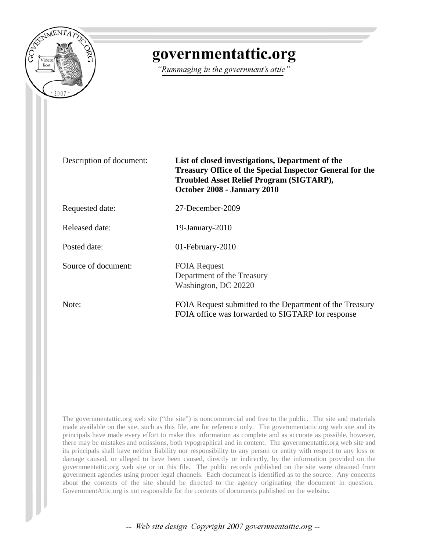

## governmentattic.org

"Rummaging in the government's attic"

Description of document: **List of closed investigations, Department of the Treasury Office of the Special Inspector General for the Troubled Asset Relief Program (SIGTARP), October 2008 - January 2010**

Requested date: 27-December-2009

Released date: 19-January-2010

Posted date: 01-February-2010

Source of document: FOIA Request

Note: FOIA Request submitted to the Department of the Treasury FOIA office was forwarded to SIGTARP for response

The governmentattic.org web site ("the site") is noncommercial and free to the public. The site and materials made available on the site, such as this file, are for reference only. The governmentattic.org web site and its principals have made every effort to make this information as complete and as accurate as possible, however, there may be mistakes and omissions, both typographical and in content. The governmentattic.org web site and its principals shall have neither liability nor responsibility to any person or entity with respect to any loss or damage caused, or alleged to have been caused, directly or indirectly, by the information provided on the governmentattic.org web site or in this file. The public records published on the site were obtained from government agencies using proper legal channels. Each document is identified as to the source. Any concerns about the contents of the site should be directed to the agency originating the document in question. GovernmentAttic.org is not responsible for the contents of documents published on the website.

Department of the Treasury Washington, DC 20220

-- Web site design Copyright 2007 governmentattic.org --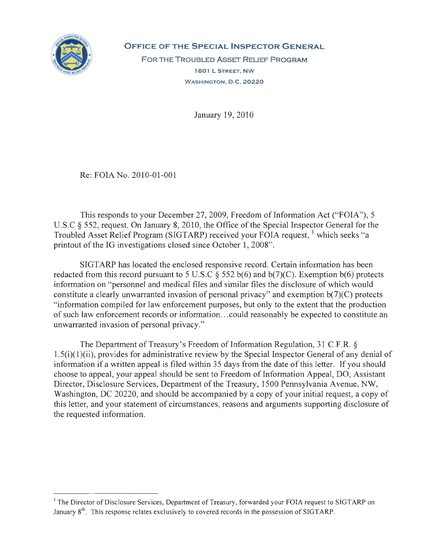

**OFFICE OF THE SPECIAL INSPECTOR GENERAL**  FOR THE TROUBLED AsSET REUEF PROGRAM 1801 L STREET, NW

WASHINGTON, D.C. 20220

January 19,2010

Re: FOIA No. 2010-01-001

This responds to your December 27,2009, Freedom of Information Act ("FOIA"), 5 U.s.C § 552, request. On January 8, 2010, the Office of the Special Inspector General for the Troubled Asset Relief Program (SIGTARP) received your FOIA request, which seeks "a printout of the IG investigations closed since October 1, 2008".

SlGT ARP has located the enclosed responsive record. Certain information has been redacted from this record pursuant to 5 U.S.C  $\S$  552 b(6) and b(7)(C). Exemption b(6) protects information on "personnel and medical files and similar files the disclosure of which would constitute a clearly unwarranted invasion of personal privacy" and exemption  $b(7)(C)$  protects "information compiled for law enforcement purposes, but only to the extent that the production of such law enforcement records or information ... could reasonably be expected to constitute an unwarranted invasion of personal privacy."

The Department of Treasury's Freedom of Information Regulation, 31 C.F.R. § l .5(i)(1)(ii), provides for administrative review by the Special Inspector General of any denial of information if a written appeal is filed within 35 days from the date of this letter. If you should choose to appeal, your appeal should be sent to Freedom of Information Appeal, DO, Assistant Director, Disclosure Services, Department of the Treasury, 1500 Pennsylvania Avenue, NW, Washington, DC 20220, and should be accompanied by a copy of your initial request, a copy of this letter, and your statement of circumstances, reasons and arguments supporting disclosure of the requested information.

<sup>&</sup>lt;sup>1</sup> The Director of Disclosure Services, Department of Treasury, forwarded your FOIA request to SIGTARP on January  $8<sup>th</sup>$ . This response relates exclusively to covered records in the possession of SIGTARP.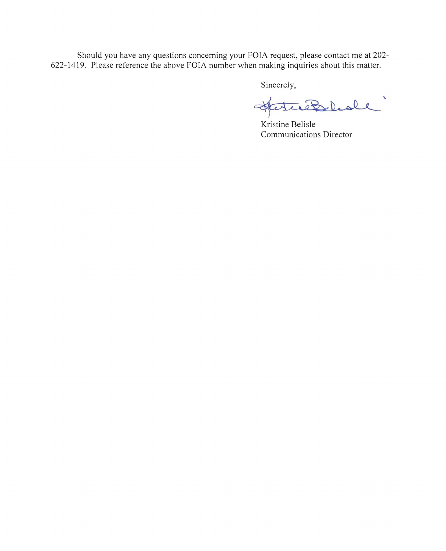Should you have any questions concerning your FOIA request, please contact me at 202- 622-1419. Please reference the above FOIA number when making inquiries about this matter.

Sincerely,

Hatcheslede"

Kristine Belisle Communications Director